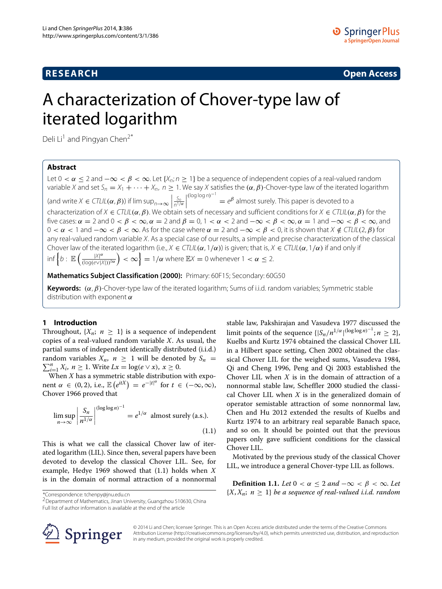**RESEARCH Open Access**

# A characterization of Chover-type law of iterated logarithm

Deli Li<sup>1</sup> and Pingyan Chen<sup>2\*</sup>

# **Abstract**

Let 0 <  $\alpha$  ≤ 2 and  $-\infty$  <  $\beta$  <  $\infty$ . Let {X<sub>n</sub>; n ≥ 1} be a sequence of independent copies of a real-valued random variable X and set  $S_n = X_1 + \cdots + X_n$ ,  $n \ge 1$ . We say X satisfies the  $(\alpha, \beta)$ -Chover-type law of the iterated logarithm (and write  $X \in \mathcal{CTLIL}(\alpha, \beta)$ ) if  $\limsup_{n \to \infty} \left| \frac{S_n}{n^{1/\alpha}} \right|$ *(*log log n*)*−<sup>1</sup>  $= e^{\beta}$  almost surely. This paper is devoted to a characterization of X ∈ CTLIL*(α*, *β)*. We obtain sets of necessary and sufficient conditions for X ∈ CTLIL*(α*, *β)* for the five cases:  $\alpha = 2$  and  $0 < \beta < \infty$ ,  $\alpha = 2$  and  $\beta = 0$ ,  $1 < \alpha < 2$  and  $-\infty < \beta < \infty$ ,  $\alpha = 1$  and  $-\infty < \beta < \infty$ , and  $0 < \alpha < 1$  and  $-\infty < \beta < \infty$ . As for the case where  $\alpha = 2$  and  $-\infty < \beta < 0$ , it is shown that  $X \notin \mathcal{C}TL(L(2, \beta))$  for any real-valued random variable X. As a special case of our results, a simple and precise characterization of the classical Chover law of the iterated logarithm (i.e., X ∈ CTLIL*(α*, 1*/α)*) is given; that is, X ∈ CTLIL*(α*, 1*/α)* if and only if inf  $\{b : \mathbb{E}\left(\frac{|X|^{\alpha}}{\sqrt{|\alpha\alpha(a)}\sqrt{a}}\right)\}$ *(*log*(*e∨|X|*))*b*<sup>α</sup>*  $\Big)<\infty\Big\}=1/\alpha$  where  $\mathbb{E}X=0$  whenever 1  $<\alpha\leq 2.$ 

**Mathematics Subject Classification (2000):** Primary: 60F15; Secondary: 60G50

**Keywords:** *(α*, *β)*-Chover-type law of the iterated logarithm; Sums of i.i.d. random variables; Symmetric stable distribution with exponent *α*

# **1 Introduction**

Throughout,  $\{X_n; n \geq 1\}$  is a sequence of independent copies of a real-valued random variable *X*. As usual, the partial sums of independent identically distributed (i.i.d.)  $\sum_{i=1}^{n} X_i$ , *n* ≥ 1. Write *Lx* = log(*e* ∨ *x*), *x* ≥ 0. random variables  $X_n$ ,  $n \geq 1$  will be denoted by  $S_n$ 

When *X* has a symmetric stable distribution with exponent  $\alpha \in (0, 2)$ , i.e.,  $\mathbb{E}\left(e^{itX}\right) = e^{-|t|^{\alpha}}$  for  $t \in (-\infty, \infty)$ , Chover [1966](#page-5-0) proved that

<span id="page-0-0"></span>
$$
\limsup_{n \to \infty} \left| \frac{S_n}{n^{1/\alpha}} \right|^{(\log \log n)^{-1}} = e^{1/\alpha} \text{ almost surely (a.s.).}
$$
\n(1.1)

This is what we call the classical Chover law of iterated logarithm (LIL). Since then, several papers have been devoted to develop the classical Chover LIL. See, for example, Hedye [1969](#page-6-0) showed that [\(1.1\)](#page-0-0) holds when *X* is in the domain of normal attraction of a nonnormal stable law, Pakshirajan and Vasudeva [1977](#page-6-1) discussed the limit points of the sequence  $\{|S_n/n^{1/\alpha}|^{(\log \log n)^{-1}}; n \geq 2\},$ Kuelbs and Kurtz [1974](#page-6-2) obtained the classical Chover LIL in a Hilbert space setting, Chen [2002](#page-5-1) obtained the classical Chover LIL for the weighed sums, Vasudeva [1984,](#page-6-3) Qi and Cheng [1996,](#page-6-4) Peng and Qi [2003](#page-6-5) established the Chover LIL when *X* is in the domain of attraction of a nonnormal stable law, Scheffler [2000](#page-6-6) studied the classical Chover LIL when *X* is in the generalized domain of operator semistable attraction of some nonnormal law, Chen and Hu [2012](#page-5-2) extended the results of Kuelbs and Kurtz [1974](#page-6-2) to an arbitrary real separable Banach space, and so on. It should be pointed out that the previous papers only gave sufficient conditions for the classical Chover LIL.

Motivated by the previous study of the classical Chover LIL, we introduce a general Chover-type LIL as follows.

<span id="page-0-1"></span>**Definition 1.1.** *Let*  $0 < \alpha \leq 2$  *and*  $-\infty < \beta < \infty$ *. Let*  ${X, X_n; n \geq 1}$  *be a sequence of real-valued i.i.d. random* 

\*Correspondence: [tchenpy@jnu.edu.cn](mailto:tchenpy@jnu.edu.cn)

2Department of Mathematics, Jinan University, Guangzhou 510630, China Full list of author information is available at the end of the article



© 2014 Li and Chen; licensee Springer. This is an Open Access article distributed under the terms of the Creative Commons Attribution License [\(http://creativecommons.org/licenses/by/4.0\)](http://creativecommons.org/licenses/by/4.0), which permits unrestricted use, distribution, and reproduction in any medium, provided the original work is properly credited.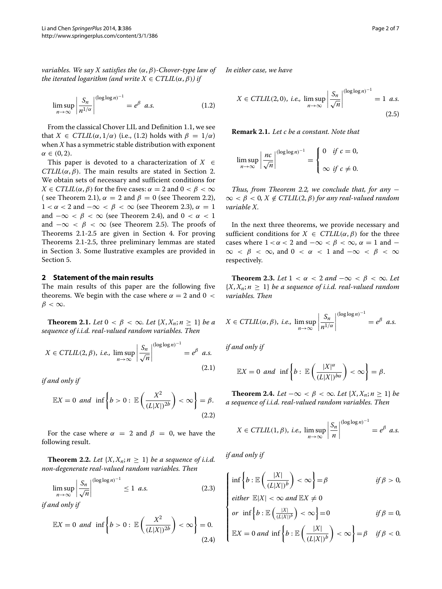<span id="page-1-0"></span>*variables. We say X satisfies the (α*, *β)-Chover-type law of the iterated logarithm (and write*  $X \in \text{CTLIL}(\alpha, \beta)$ *) if* 

$$
\limsup_{n \to \infty} \left| \frac{S_n}{n^{1/\alpha}} \right|^{(\log \log n)^{-1}} = e^{\beta} \quad a.s. \tag{1.2}
$$

From the classical Chover LIL and Definition [1.1,](#page-0-1) we see that *X*  $\in \text{CTLIL}(\alpha, 1/\alpha)$  (i.e., [\(1.2\)](#page-1-0) holds with  $\beta = 1/\alpha$ ) when *X* has a symmetric stable distribution with exponent *α* ∈ *(*0, 2*)*.

This paper is devoted to a characterization of  $X \in$ *CTLIL* $(\alpha, \beta)$ . The main results are stated in Section [2.](#page-1-1) We obtain sets of necessary and sufficient conditions for *X*  $\in \text{CTLIL}(\alpha, \beta)$  for the five cases:  $\alpha = 2$  and  $0 < \beta < \infty$ ( see Theorem 2.1),  $\alpha = 2$  and  $\beta = 0$  (see Theorem [2.2\)](#page-1-2),  $1 < \alpha < 2$  and  $-\infty < \beta < \infty$  (see Theorem [2.3\)](#page-1-3),  $\alpha = 1$ and  $-\infty < \beta < \infty$  (see Theorem [2.4\)](#page-1-4), and  $0 < \alpha < 1$ and  $-\infty < \beta < \infty$  (see Theorem [2.5\)](#page-2-0). The proofs of Theorems [2.1-](#page-1-5)[2.5](#page-2-0) are given in Section [4.](#page-3-0) For proving Theorems [2.1](#page-1-5)[-2.5,](#page-2-0) three preliminary lemmas are stated in Section [3.](#page-2-1) Some llustrative examples are provided in Section [5.](#page-4-0)

# <span id="page-1-1"></span>**2 Statement of the main results**

The main results of this paper are the following five theorems. We begin with the case where  $\alpha = 2$  and  $0 <$ *β <* ∞.

<span id="page-1-5"></span>**Theorem 2.1.** *Let*  $0 < \beta < \infty$ *. Let*  $\{X, X_n; n > 1\}$  *be a sequence of i.i.d. real-valued random variables. Then*

$$
X \in \text{CTLIL}(2, \beta), \text{ i.e., } \limsup_{n \to \infty} \left| \frac{S_n}{\sqrt{n}} \right|^{(\log \log n)^{-1}} = e^{\beta} \text{ a.s.}
$$
\n
$$
(2.1)
$$

*if and only if*

<span id="page-1-6"></span>
$$
\mathbb{E}X = 0 \text{ and } \inf \left\{ b > 0 : \mathbb{E} \left( \frac{X^2}{(L|X|)^{2b}} \right) < \infty \right\} = \beta. \tag{2.2}
$$

For the case where  $\alpha = 2$  and  $\beta = 0$ , we have the following result.

<span id="page-1-2"></span>**Theorem 2.2.** Let  $\{X, X_n; n \geq 1\}$  be a sequence of i.i.d. *non-degenerate real-valued random variables. Then*

$$
\limsup_{n \to \infty} \left| \frac{S_n}{\sqrt{n}} \right|^{(\log \log n)^{-1}} \le 1 \text{ a.s.}
$$
 (2.3)

*if and only if*

<span id="page-1-8"></span>
$$
\mathbb{E}X = 0 \text{ and } \inf \left\{ b > 0 : \mathbb{E}\left(\frac{X^2}{(L|X|)^{2b}}\right) < \infty \right\} = 0. \tag{2.4}
$$

*In either case, we have*

<span id="page-1-9"></span>
$$
X \in \text{CTLIL}(2,0), \text{ i.e., } \limsup_{n \to \infty} \left| \frac{S_n}{\sqrt{n}} \right|^{(\log \log n)^{-1}} = 1 \text{ a.s.}
$$
\n
$$
(2.5)
$$

**Remark 2.1.** *Let c be a constant. Note that*

$$
\limsup_{n\to\infty}\left|\frac{nc}{\sqrt{n}}\right|^{(\log\log n)^{-1}}=\left\{\begin{array}{ll}0&\text{if }c=0,\\&\\ \infty&\text{if }c\neq 0.\end{array}\right.
$$

*Thus, from Theorem [2.2,](#page-1-2) we conclude that, for any* −  $\infty < \beta < 0, X \notin \mathcal{C}TLIL(2, \beta)$  for any real-valued random *variable X.*

In the next three theorems, we provide necessary and sufficient conditions for  $X \in \mathcal{C}TLIL(\alpha, \beta)$  for the three cases where  $1 < \alpha < 2$  and  $-\infty < \beta < \infty$ ,  $\alpha = 1$  and  $\infty < \beta < \infty$ , and  $0 < \alpha < 1$  and  $-\infty < \beta < \infty$ respectively.

<span id="page-1-3"></span>**Theorem 2.3.** *Let*  $1 < \alpha < 2$  *and*  $-\infty < \beta < \infty$ *. Let*  ${X, X_n; n \geq 1}$  *be a sequence of i.i.d. real-valued random variables. Then*

<span id="page-1-7"></span>
$$
X \in \text{CTLIL}(\alpha, \beta), \text{ i.e., } \limsup_{n \to \infty} \left| \frac{S_n}{n^{1/\alpha}} \right|^{(\log \log n)^{-1}} = e^{\beta} \text{ a.s.}
$$

*if and only if*

$$
\mathbb{E}X=0 \text{ and } \inf \left\{b: \mathbb{E}\left(\frac{|X|^{\alpha}}{(L|X|)^{b\alpha}}\right)<\infty\right\}=\beta.
$$

<span id="page-1-4"></span>**Theorem 2.4.** *Let* −∞ < *β* < ∞*. Let* {*X, X<sub>n</sub>*; *n* ≥ 1} *be a sequence of i.i.d. real-valued random variables. Then*

$$
X \in \mathit{CTLIL}(1, \beta), \text{ i.e., } \limsup_{n \to \infty} \left| \frac{S_n}{n} \right|^{(\log \log n)^{-1}} = e^{\beta} \text{ a.s.}
$$

*if and only if*

<span id="page-1-10"></span>
$$
\int \inf \left\{ b : \mathbb{E} \left( \frac{|X|}{(L|X|)^b} \right) < \infty \right\} = \beta \qquad \text{if } \beta > 0,
$$
\n
$$
\text{either } \mathbb{E}|X| < \infty \text{ and } \mathbb{E}X \neq 0
$$

 $\text{either } \mathbb{E}|X| < \infty \text{ and } \mathbb{E}X \neq 0$ 

or inf 
$$
\left\{ b : \mathbb{E}\left(\frac{|X|}{(L|X|)^b}\right) < \infty \right\} = 0
$$
 if  $\beta = 0$ ,

$$
\begin{cases}\n\text{or } \text{inf } 1^b \cdot \mathbb{E}\left(\frac{||X||}{(L||X|)^b}\right) < \infty \\
\mathbb{E}X = 0 \text{ and } \text{inf}\left\{b : \mathbb{E}\left(\frac{|X|}{(L||X|)^b}\right) < \infty\right\} = \beta \quad \text{if } \beta < 0.\n\end{cases}
$$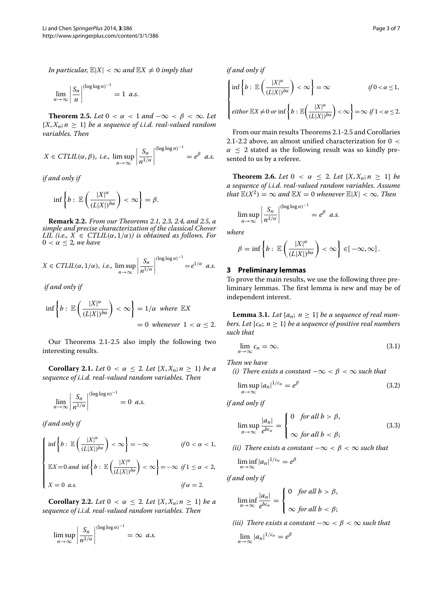*In particular,*  $\mathbb{E}|X| < \infty$  *and*  $\mathbb{E}X \neq 0$  *imply that* 

 $\lim_{n\to\infty}\left|\frac{S_n}{n}\right|$ *n* - - - -  $(\log \log n)^{-1}$  $= 1$  *a.s.* 

<span id="page-2-0"></span>**Theorem 2.5.** *Let*  $0 < \alpha < 1$  *and*  $-\infty < \beta < \infty$ *. Let*  ${X, X_n; n \geq 1}$  *be a sequence of i.i.d. real-valued random variables. Then*

$$
X \in \text{CTLIL}(\alpha, \beta), \text{ i.e., } \limsup_{n \to \infty} \left| \frac{S_n}{n^{1/\alpha}} \right|^{(\log \log n)^{-1}} = e^{\beta} \text{ a.s.}
$$

*if and only if*

$$
\inf \left\{ b : \, \mathbb{E}\left(\frac{|X|^{\alpha}}{(L|X|)^{b\alpha}}\right) < \infty \right\} = \beta.
$$

**Remark 2.2.** *From our Theorems [2.1,](#page-1-5) [2.3,](#page-1-3) [2.4,](#page-1-4) and [2.5,](#page-2-0) a simple and precise characterization of the classical Chover LIL* (*i.e.,*  $X \in \text{CTLIL}(\alpha, 1/\alpha)$ *) is obtained as follows. For*  $0 < \alpha \leq 2$ , we have

$$
X \in \text{CTLIL}(\alpha, 1/\alpha), \text{ i.e., } \limsup_{n \to \infty} \left| \frac{S_n}{n^{1/\alpha}} \right|^{(\log \log n)^{-1}} = e^{1/\alpha} \text{ a.s.}
$$

*if and only if*

$$
\inf \left\{ b : \mathbb{E} \left( \frac{|X|^{\alpha}}{(L|X|)^{b\alpha}} \right) < \infty \right\} = 1/\alpha \text{ where } \mathbb{E}X
$$
\n
$$
= 0 \text{ whenever } 1 < \alpha \le 2.
$$

Our Theorems [2.1-](#page-1-5)[2.5](#page-2-0) also imply the following two interesting results.

<span id="page-2-2"></span>**Corollary 2.1.** *Let*  $0 < \alpha \leq 2$ *. Let*  $\{X, X_n; n \geq 1\}$  *be a sequence of i.i.d. real-valued random variables. Then*

$$
\lim_{n\to\infty}\left|\frac{S_n}{n^{1/\alpha}}\right|^{(\log\log n)^{-1}}=0 \ \ a.s.
$$

*if and only if*

$$
\begin{cases} \inf \left\{ b : \mathbb{E} \left( \frac{|X|^{\alpha}}{(L|X|)^{b\alpha}} \right) < \infty \right\} = -\infty & \text{if } 0 < \alpha < 1, \\ \mathbb{E}X = 0 \text{ and } \inf \left\{ b : \mathbb{E} \left( \frac{|X|^{\alpha}}{(L|X|)^{b\alpha}} \right) < \infty \right\} = -\infty & \text{if } 1 \le \alpha < 2, \\ X = 0 \text{ a.s.} & \text{if } \alpha = 2. \end{cases}
$$

<span id="page-2-3"></span>**Corollary 2.2.** *Let*  $0 < \alpha < 2$ *. Let*  $\{X, X_n; n > 1\}$  *be a sequence of i.i.d. real-valued random variables. Then*

$$
\limsup_{n \to \infty} \left| \frac{S_n}{n^{1/\alpha}} \right|^{(\log \log n)^{-1}} = \infty \ \ a.s.
$$

*if and only if*

$$
\begin{cases}\n\inf \left\{ b : \mathbb{E} \left( \frac{|X|^{\alpha}}{(L|X|)^{b\alpha}} \right) < \infty \right\} = \infty & \text{if } 0 < \alpha \le 1, \\
\text{either } \mathbb{E}X \neq 0 \text{ or inf } \left\{ b : \mathbb{E} \left( \frac{|X|^{\alpha}}{(L|X|)^{b\alpha}} \right) < \infty \right\} = \infty & \text{if } 1 < \alpha \le 2.\n\end{cases}
$$

From our main results Theorems [2.1](#page-1-5)[-2.5](#page-2-0) and Corollaries [2.1](#page-2-2)[-2.2](#page-2-3) above, an almost unified characterization for 0 *<*  $\alpha \leq 2$  stated as the following result was so kindly presented to us by a referee.

**Theorem 2.6.** *Let*  $0 < \alpha \leq 2$ *. Let*  $\{X, X_n; n \geq 1\}$  *be a sequence of i.i.d. real-valued random variables. Assume that*  $\mathbb{E}(X^2) = \infty$  *and*  $\mathbb{E}X = 0$  *whenever*  $\mathbb{E}|X| < \infty$ *. Then* 

$$
\limsup_{n\to\infty}\left|\frac{S_n}{n^{1/\alpha}}\right|^{(\log\log n)^{-1}}=e^{\beta} a.s.
$$

*where*

$$
\beta = \inf \left\{ b : \, \mathbb{E}\left(\frac{|X|^{\alpha}}{(L|X|)^{b\alpha}}\right) < \infty \right\} \in [-\infty, \infty] \, .
$$

## <span id="page-2-1"></span>**3 Preliminary lemmas**

To prove the main results, we use the following three preliminary lemmas. The first lemma is new and may be of independent interest.

<span id="page-2-7"></span>**Lemma 3.1.** *Let*  $\{a_n; n \geq 1\}$  *be a sequence of real numbers. Let*  $\{c_n; n \geq 1\}$  *be a sequence of positive real numbers such that*

<span id="page-2-6"></span>
$$
\lim_{n \to \infty} c_n = \infty. \tag{3.1}
$$

*Then we have*

*(i)* There exists a constant  $-\infty < \beta < \infty$  such that

<span id="page-2-5"></span>
$$
\limsup_{n \to \infty} |a_n|^{1/c_n} = e^{\beta} \tag{3.2}
$$

*if and only if*

<span id="page-2-4"></span>
$$
\limsup_{n \to \infty} \frac{|a_n|}{e^{bc_n}} = \begin{cases} 0 & \text{for all } b > \beta, \\ \infty & \text{for all } b < \beta; \end{cases}
$$
 (3.3)

*(ii)* There exists a constant  $-\infty < \beta < \infty$  such that

$$
\liminf_{n\to\infty} |a_n|^{1/c_n} = e^{\beta}
$$

*if and only if*

$$
\liminf_{n\to\infty}\frac{|a_n|}{e^{bc_n}}=\begin{cases}0\quad\text{for all }b>\beta,\\
\infty\text{ for all }b<\beta;\end{cases}
$$

*(iii)* There exists a constant  $-\infty < \beta < \infty$  such that

$$
\lim_{n\to\infty}|a_n|^{1/c_n}=e^{\beta}
$$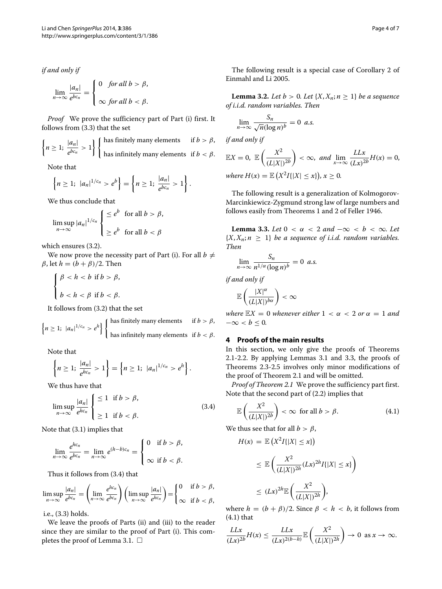*if and only if*

<span id="page-3-1"></span>
$$
\lim_{n \to \infty} \frac{|a_n|}{e^{bc_n}} = \begin{cases} 0 & \text{for all } b > \beta, \\ \infty & \text{for all } b < \beta. \end{cases}
$$

*Proof* We prove the sufficiency part of Part (i) first. It follows from [\(3.3\)](#page-2-4) that the set

$$
\left\{ n \ge 1; \frac{|a_n|}{e^{bc_n}} > 1 \right\} \left\{ \begin{array}{ll} \text{has finitely many elements} & \text{if } b > \beta, \\ \text{has infinitely many elements} & \text{if } b < \beta. \end{array} \right.
$$

Note that

$$
\left\{n\geq 1;\ |a_n|^{1/c_n}>e^b\right\}=\left\{n\geq 1;\ \frac{|a_n|}{e^{bc_n}}>1\right\}.
$$

We thus conclude that

$$
\limsup_{n \to \infty} |a_n|^{1/c_n} \begin{cases} \leq e^b \quad \text{for all } b > \beta, \\ \geq e^b \quad \text{for all } b < \beta \end{cases}
$$

which ensures [\(3.2\)](#page-2-5).

We now prove the necessity part of Part (i). For all  $b \neq$ *β*, let  $h = (b + β)/2$ . Then

$$
\begin{cases} \beta < h < b \text{ if } b > \beta, \\ \nb < h < \beta \text{ if } b < \beta. \end{cases}
$$

It follows from [\(3.2\)](#page-2-5) that the set

$$
\left\{ n \geq 1; |a_n|^{1/c_n} > e^h \right\} \left\{ \begin{array}{ll} \text{has finitely many elements} & \text{if } b > \beta, \\ \text{has infinitely many elements} & \text{if } b < \beta. \end{array} \right.
$$

Note that

$$
\left\{ n \geq 1; \frac{|a_n|}{e^{hc_n}} > 1 \right\} = \left\{ n \geq 1; |a_n|^{1/c_n} > e^h \right\}.
$$

We thus have that

$$
\limsup_{n \to \infty} \frac{|a_n|}{e^{hc_n}} \begin{cases} \le 1 & \text{if } b > \beta, \\ \ge 1 & \text{if } b < \beta. \end{cases}
$$
 (3.4)

Note that [\(3.1\)](#page-2-6) implies that

$$
\lim_{n\to\infty}\frac{e^{hc_n}}{e^{bc_n}}=\lim_{n\to\infty}e^{(h-b)c_n}=\begin{cases}0\quad\text{if }b>\beta,\\
\infty\quadtext{if }b<\beta.\end{cases}
$$

Thus it follows from [\(3.4\)](#page-3-1) that

$$
\limsup_{n\to\infty}\frac{|a_n|}{e^{bc_n}}=\left(\lim_{n\to\infty}\frac{e^{hc_n}}{e^{bc_n}}\right)\left(\limsup_{n\to\infty}\frac{|a_n|}{e^{hc_n}}\right)=\begin{cases}0 & \text{if } b>\beta,\\ \infty & \text{if } b<\beta,\end{cases}
$$

i.e., [\(3.3\)](#page-2-4) holds.

We leave the proofs of Parts (ii) and (iii) to the reader since they are similar to the proof of Part (i). This com-pletes the proof of Lemma [3.1.](#page-2-7)  $\Box$ 

The following result is a special case of Corollary 2 of Einmahl and Li [2005.](#page-6-7)

<span id="page-3-4"></span>**Lemma 3.2.** *Let*  $b > 0$ *. Let*  $\{X, X_n; n \geq 1\}$  *be a sequence of i.i.d. random variables. Then*

$$
\lim_{n \to \infty} \frac{S_n}{\sqrt{n} (\log n)^b} = 0 \ \ a.s.
$$

*if and only if*

$$
\mathbb{E}X = 0, \ \mathbb{E}\left(\frac{X^2}{(L|X|)^{2b}}\right) < \infty, \ and \ \lim_{x \to \infty} \frac{LLx}{(Lx)^{2b}}H(x) = 0,
$$
\n
$$
\text{where } H(x) = \mathbb{E}\left(X^2I\{|X| \le x\}\right), x \ge 0.
$$

The following result is a generalization of Kolmogorov-Marcinkiewicz-Zygmund strong law of large numbers and follows easily from Theorems 1 and 2 of Feller [1946.](#page-6-8)

<span id="page-3-2"></span>**Lemma 3.3.** *Let*  $0 < \alpha < 2$  *and*  $-\infty < b < \infty$ *. Let*  ${X, X_n; n \geq 1}$  *be a sequence of i.i.d. random variables. Then*

$$
\lim_{n\to\infty}\frac{S_n}{n^{1/\alpha}(\log n)^b}=0
$$
 a.s.

*if and only if*

$$
\mathbb{E}\left(\frac{|X|^{\alpha}}{(L|X|)^{b\alpha}}\right)<\infty
$$

*where*  $\mathbb{E}X = 0$  *whenever either*  $1 < \alpha < 2$  *or*  $\alpha = 1$  *and*  $-\infty < b \leq 0$ .

# <span id="page-3-0"></span>**4 Proofs of the main results**

In this section, we only give the proofs of Theorems [2.1-](#page-1-5)[2.2.](#page-1-2) By applying Lemmas [3.1](#page-2-7) and [3.3,](#page-3-2) the proofs of Theorems [2.3-](#page-1-3)[2.5](#page-2-0) involves only minor modifications of the proof of Theorem [2.1](#page-1-5) and will be omitted.

*Proof of Theorem [2.1](#page-1-5)* We prove the sufficiency part first. Note that the second part of [\(2.2\)](#page-1-6) implies that

<span id="page-3-3"></span>
$$
\mathbb{E}\left(\frac{X^2}{(L|X|)^{2b}}\right) < \infty \quad \text{for all } b > \beta. \tag{4.1}
$$

We thus see that for all  $b > \beta$ ,

$$
H(x) = \mathbb{E}\left(X^2I\{|X| \le x\}\right)
$$
  
\n
$$
\le \mathbb{E}\left(\frac{X^2}{(L|X|)^{2h}}(Lx)^{2h}I\{|X| \le x\}\right)
$$
  
\n
$$
\le (Lx)^{2h}\mathbb{E}\left(\frac{X^2}{(L|X|)^{2h}}\right),
$$

where  $h = (b + \beta)/2$ . Since  $\beta < h < b$ , it follows from [\(4.1\)](#page-3-3) that

$$
\frac{LLx}{(Lx)^{2b}}H(x) \le \frac{LLx}{(Lx)^{2(b-h)}}\mathbb{E}\left(\frac{X^2}{(L|X|)^{2h}}\right) \to 0 \text{ as } x \to \infty.
$$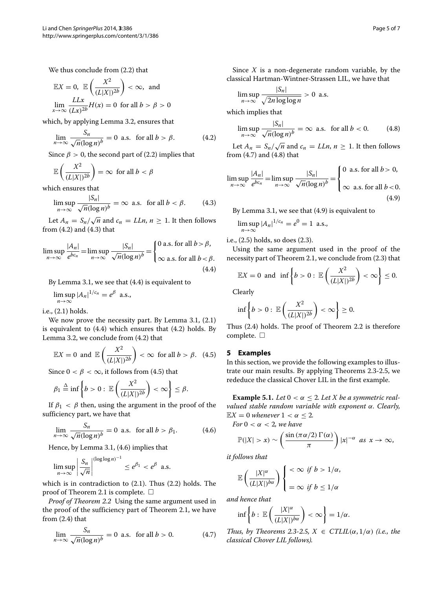We thus conclude from [\(2.2\)](#page-1-6) that

$$
\mathbb{E}X = 0, \quad \mathbb{E}\left(\frac{X^2}{(L|X|)^{2b}}\right) < \infty, \quad \text{and}
$$
\n
$$
\lim_{x \to \infty} \frac{LLx}{(Lx)^{2b}} H(x) = 0 \quad \text{for all } b > \beta > 0
$$

which, by applying Lemma [3.2,](#page-3-4) ensures that

$$
\lim_{n \to \infty} \frac{S_n}{\sqrt{n} (\log n)^b} = 0 \text{ a.s. for all } b > \beta. \tag{4.2}
$$

Since  $\beta > 0$ , the second part of [\(2.2\)](#page-1-6) implies that

$$
\mathbb{E}\left(\frac{X^2}{(L|X|)^{2b}}\right) = \infty \text{ for all } b < \beta
$$

which ensures that

<span id="page-4-3"></span><span id="page-4-2"></span>
$$
\limsup_{n \to \infty} \frac{|S_n|}{\sqrt{n} (\log n)^b} = \infty \text{ a.s. for all } b < \beta. \tag{4.3}
$$

Let  $A_n = S_n / \sqrt{n}$  and  $c_n = LLn$ ,  $n \ge 1$ . It then follows from [\(4.2\)](#page-4-1) and [\(4.3\)](#page-4-2) that

$$
\limsup_{n \to \infty} \frac{|A_n|}{e^{bc_n}} = \limsup_{n \to \infty} \frac{|S_n|}{\sqrt{n}(\log n)^b} = \begin{cases} 0 \text{ a.s. for all } b > \beta, \\ \infty \text{ a.s. for all } b < \beta. \end{cases}
$$
\n(4.4)

By Lemma [3.1,](#page-2-7) we see that [\(4.4\)](#page-4-3) is equivalent to

$$
\limsup_{n\to\infty}|A_n|^{1/c_n}=e^{\beta}\ \text{a.s.},
$$

i.e., [\(2.1\)](#page-1-7) holds.

We now prove the necessity part. By Lemma [3.1,](#page-2-7) [\(2.1\)](#page-1-7) is equivalent to [\(4.4\)](#page-4-3) which ensures that [\(4.2\)](#page-4-1) holds. By Lemma [3.2,](#page-3-4) we conclude from [\(4.2\)](#page-4-1) that

$$
\mathbb{E}X = 0 \text{ and } \mathbb{E}\left(\frac{X^2}{(L|X|)^{2b}}\right) < \infty \text{ for all } b > \beta. \tag{4.5}
$$

Since  $0 < \beta < \infty$ , it follows from (4.5) that

$$
\beta_1 \stackrel{\Delta}{=} \inf \left\{ b > 0: \, \mathbb{E}\left( \frac{X^2}{(L|X|)^{2b}} \right) < \infty \right\} \leq \beta.
$$

If  $\beta_1 < \beta$  then, using the argument in the proof of the sufficiency part, we have that

<span id="page-4-4"></span>
$$
\lim_{n \to \infty} \frac{S_n}{\sqrt{n} (\log n)^b} = 0 \text{ a.s. for all } b > \beta_1. \tag{4.6}
$$

Hence, by Lemma [3.1,](#page-2-7) [\(4.6\)](#page-4-4) implies that

$$
\limsup_{n\to\infty}\left|\frac{S_n}{\sqrt{n}}\right|^{\left(\log\log n\right)^{-1}} \leq e^{\beta_1} < e^{\beta} \text{ a.s.}
$$

which is in contradiction to [\(2.1\)](#page-1-7). Thus [\(2.2\)](#page-1-6) holds. The proof of Theorem [2.1](#page-1-5) is complete.  $\Box$ 

*Proof of Theorem [2.2](#page-1-2)* Using the same argument used in the proof of the sufficiency part of Theorem [2.1,](#page-1-5) we have from [\(2.4\)](#page-1-8) that

<span id="page-4-5"></span>
$$
\lim_{n \to \infty} \frac{S_n}{\sqrt{n} (\log n)^b} = 0 \text{ a.s. for all } b > 0. \tag{4.7}
$$

Since *X* is a non-degenerate random variable, by the classical Hartman-Wintner-Strassen LIL, we have that

$$
\limsup_{n\to\infty}\frac{|S_n|}{\sqrt{2n\log\log n}} > 0 \text{ a.s.}
$$

<span id="page-4-1"></span>which implies that

<span id="page-4-7"></span><span id="page-4-6"></span>
$$
\limsup_{n \to \infty} \frac{|S_n|}{\sqrt{n}(\log n)^b} = \infty \text{ a.s. for all } b < 0. \tag{4.8}
$$

Let  $A_n = S_n / \sqrt{n}$  and  $c_n = LLn$ ,  $n \ge 1$ . It then follows from [\(4.7\)](#page-4-5) and [\(4.8\)](#page-4-6) that

$$
\limsup_{n \to \infty} \frac{|A_n|}{e^{bc_n}} = \limsup_{n \to \infty} \frac{|S_n|}{\sqrt{n}(\log n)^b} = \begin{cases} 0 & \text{a.s. for all } b > 0, \\ \infty & \text{a.s. for all } b < 0. \end{cases}
$$
\n
$$
(4.9)
$$

By Lemma [3.1,](#page-2-7) we see that [\(4.9\)](#page-4-7) is equivalent to

$$
\limsup_{n\to\infty} |A_n|^{1/c_n} = e^0 = 1
$$
 a.s.,

i.e., [\(2.5\)](#page-1-9) holds, so does [\(2.3\)](#page-1-10).

Using the same argument used in the proof of the necessity part of Theorem [2.1,](#page-1-5) we conclude from [\(2.3\)](#page-1-10) that

$$
\mathbb{E}X = 0 \text{ and } \inf \left\{ b > 0 : \mathbb{E} \left( \frac{X^2}{(L|X|)^{2b}} \right) < \infty \right\} \leq 0.
$$

Clearly

$$
\inf\left\{b>0:\ \mathbb{E}\left(\frac{X^2}{(L|X|)^{2b}}\right)<\infty\right\}\geq 0.
$$

Thus [\(2.4\)](#page-1-8) holds. The proof of Theorem [2.2](#page-1-2) is therefore complete.  $\Box$ 

### <span id="page-4-0"></span>**5 Examples**

In this section, we provide the following examples to illustrate our main results. By applying Theorems [2.3-](#page-1-3)[2.5,](#page-2-0) we rededuce the classical Chover LIL in the first example.

**Example 5.1.** *Let*  $0 < \alpha \leq 2$ *. Let*  $X$  *be a symmetric realvalued stable random variable with exponent α. Clearly,*  $\mathbb{E}X = 0$  *whenever*  $1 < \alpha < 2$ .

*For*  $0 < \alpha < 2$ *, we have* 

$$
\mathbb{P}(|X| > x) \sim \left(\frac{\sin{(\pi \alpha/2)} \Gamma(\alpha)}{\pi}\right) |x|^{-\alpha} \text{ as } x \to \infty,
$$

*it follows that*

$$
\mathbb{E}\left(\frac{|X|^{\alpha}}{(L|X|)^{b\alpha}}\right)\left\{\begin{array}{l}\langle \infty \text{ if } b > 1/\alpha, \\ \\ =\infty \text{ if } b \leq 1/\alpha\end{array}\right.
$$

*and hence that*

$$
\inf\left\{b:\,\mathbb{E}\left(\frac{|X|^{\alpha}}{(L|X|)^{b\alpha}}\right)<\infty\right\}=1/\alpha.
$$

*Thus, by Theorems* [2.3-](#page-1-3)[2.5,](#page-2-0)  $X \in \text{CTLIL}(\alpha, 1/\alpha)$  (*i.e., the classical Chover LIL follows).*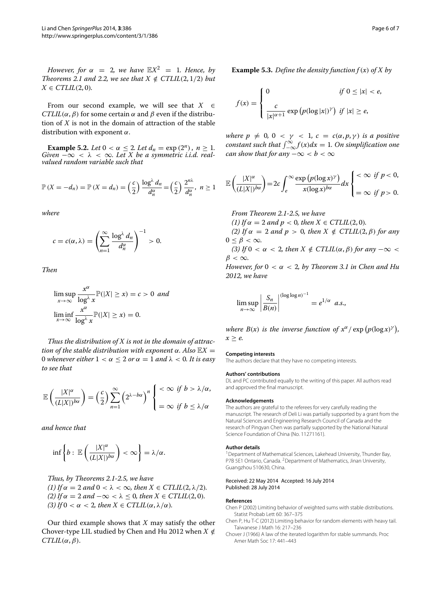*However, for*  $\alpha = 2$ *, we have*  $\mathbb{E}X^2 = 1$ *. Hence, by Theorems* [2.1](#page-1-7) *and* 2.2*, we see that*  $X \notin \text{CTLIL}(2, 1/2)$  *but*  $X \in \mathcal{C}TLIL(2,0)$ *.* 

From our second example, we will see that  $X \in$ *CTLIL*( $\alpha$ ,  $\beta$ ) for some certain  $\alpha$  and  $\beta$  even if the distribution of *X* is not in the domain of attraction of the stable distribution with exponent *α*.

**Example 5.2.** *Let*  $0 < \alpha \leq 2$ *. Let*  $d_n = \exp(2^n)$ *, n*  $\geq 1$ *. Given*  $-\infty < \lambda < \infty$ *. Let*  $X$  *be a symmetric i.i.d. realvalued random variable such that*

$$
\mathbb{P}\left(X=-d_n\right)=\mathbb{P}\left(X=d_n\right)=\left(\frac{c}{2}\right)\frac{\log^{\lambda}d_n}{d_n^{\alpha}}=\left(\frac{c}{2}\right)\frac{2^{n\lambda}}{d_n^{\alpha}},\ \ n\geq 1
$$

*where*

$$
c = c(\alpha, \lambda) = \left(\sum_{n=1}^{\infty} \frac{\log^{\lambda} d_n}{d_n^{\alpha}}\right)^{-1} > 0.
$$

*Then*

$$
\limsup_{x \to \infty} \frac{x^{\alpha}}{\log^{\lambda} x} \mathbb{P}(|X| \ge x) = c > 0 \text{ and}
$$
  

$$
\liminf_{x \to \infty} \frac{x^{\alpha}}{\log^{\lambda} x} \mathbb{P}(|X| \ge x) = 0.
$$

*Thus the distribution of X is not in the domain of attraction of the stable distribution with exponent*  $\alpha$ *. Also*  $\mathbb{E}X =$ 0 *whenever either*  $1 < \alpha \leq 2$  *or*  $\alpha = 1$  *and*  $\lambda < 0$ *. It is easy to see that*

$$
\mathbb{E}\left(\frac{|X|^{\alpha}}{(L|X|)^{b\alpha}}\right) = \left(\frac{c}{2}\right) \sum_{n=1}^{\infty} \left(2^{\lambda - b\alpha}\right)^n \begin{cases} < \infty & \text{if } b > \lambda/\alpha, \\ = \infty & \text{if } b \leq \lambda/\alpha \end{cases}
$$

*and hence that*

$$
\inf \left\{ b : \, \mathbb{E}\left(\frac{|X|^{\alpha}}{(L|X|)^{b\alpha}}\right) < \infty \right\} = \lambda/\alpha.
$$

*Thus, by Theorems [2.1](#page-1-5)[-2.5,](#page-2-0) we have (1) If*  $\alpha = 2$  *and*  $0 < \lambda < \infty$ *, then*  $X \in \mathcal{C}TLIL(2, \lambda/2)$ *. (2) If*  $\alpha = 2$  *and*  $-\infty < \lambda < 0$ *, then*  $X \in \text{CTLIL}(2, 0)$ *. (3) If*  $0 < \alpha < 2$ *, then*  $X \in \mathcal{C}TLIL(\alpha, \lambda/\alpha)$ *.* 

Our third example shows that *X* may satisfy the other Chover-type LIL studied by Chen and Hu [2012](#page-5-2) when  $X \notin$  $CTLIL(\alpha, \beta)$ .

**Example 5.3.** *Define the density function*  $f(x)$  *of X by* 

$$
f(x) = \begin{cases} 0 & \text{if } 0 \le |x| < e, \\ \frac{c}{|x|^{\alpha+1}} \exp(p(\log|x|)^{\gamma}) & \text{if } |x| \ge e, \end{cases}
$$

*where*  $p \neq 0$ ,  $0 < \gamma < 1$ ,  $c = c(\alpha, p, \gamma)$  *is a positive*  $constant$  such that  $\int_{-\infty}^{\infty} f(x) dx = 1$ . On simplification one *can show that for any*  $-\infty < b < \infty$ 

$$
\mathbb{E}\left(\frac{|X|^{\alpha}}{(L|X|)^{b\alpha}}\right) = 2c \int_{e}^{\infty} \frac{\exp(p(\log x)^{\gamma})}{x(\log x)^{b\alpha}} dx \begin{cases} < \infty & \text{if } p < 0, \\ = \infty & \text{if } p > 0. \end{cases}
$$

*From Theorem [2.1](#page-1-5)[-2.5,](#page-2-0) we have (1) If*  $\alpha = 2$  *and*  $p < 0$ *, then*  $X \in \text{CTLIL}(2, 0)$ *. (2)* If  $\alpha = 2$  *and*  $p > 0$ *, then*  $X \notin \text{CTLIL}(2, \beta)$  for any  $0 \leq \beta < \infty$ . *(3) If*  $0 < \alpha < 2$ *, then*  $X \notin \mathbb{C}TLIL(\alpha, \beta)$  *for any*  $-\infty <$ 

 $\beta < \infty$ *.* 

*However, for*  $0 < \alpha < 2$ *, by Theorem 3.1 in Chen and Hu [2012,](#page-5-2) we have*

$$
\limsup_{n\to\infty}\left|\frac{S_n}{B(n)}\right|^{(\log\log n)^{-1}}=e^{1/\alpha} a.s.,
$$

*where*  $B(x)$  *is the inverse function of*  $x^{\alpha}/\exp(p(\log x)^{\gamma})$ ,  $x \geq e$ .

#### **Competing interests**

The authors declare that they have no competing interests.

#### **Authors' contributions**

DL and PC contributed equally to the writing of this paper. All authors read and approved the final manuscript.

#### **Acknowledgements**

The authors are grateful to the referees for very carefully reading the manuscript. The research of Deli Li was partially supported by a grant from the Natural Sciences and Engineering Research Council of Canada and the research of Pingyan Chen was partially supported by the National Natural Science Foundation of China (No. 11271161).

#### **Author details**

<sup>1</sup> Department of Mathematical Sciences, Lakehead University, Thunder Bay, P7B 5E1 Ontario, Canada. <sup>2</sup> Department of Mathematics, Jinan University, Guangzhou 510630, China.

#### Received: 22 May 2014 Accepted: 16 July 2014 Published: 28 July 2014

#### **References**

<span id="page-5-1"></span>Chen P (2002) Limiting behavior of weighted sums with stable distributions. Statist Probab Lett 60: 367–375

- <span id="page-5-2"></span>Chen P, Hu T-C (2012) Limiting behavior for random elements with heavy tail. Taiwanese J Math 16: 217–236
- <span id="page-5-0"></span>Chover J (1966) A law of the iterated logarithm for stable summands. Proc Amer Math Soc 17: 441–443